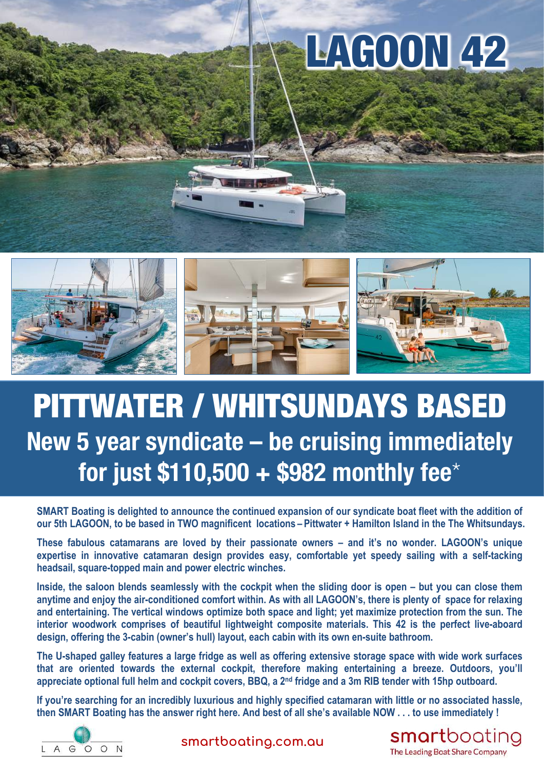## LAGOON 42



## PITTWATER / WHITSUNDAYS BASED **New 5 year syndicate – be cruising immediately for just \$110,500 + \$982 monthly fee**\*

**SMART Boating is delighted to announce the continued expansion of our syndicate boat fleet with the addition of our 5th LAGOON, to be based in TWO magnificent locations – Pittwater + Hamilton Island in the The Whitsundays.**

**These fabulous catamarans are loved by their passionate owners – and it's no wonder. LAGOON's unique expertise in innovative catamaran design provides easy, comfortable yet speedy sailing with a self-tacking headsail, square-topped main and power electric winches.** 

**Inside, the saloon blends seamlessly with the cockpit when the sliding door is open – but you can close them anytime and enjoy the air-conditioned comfort within. As with all LAGOON's, there is plenty of space for relaxing and entertaining. The vertical windows optimize both space and light; yet maximize protection from the sun. The interior woodwork comprises of beautiful lightweight composite materials. This 42 is the perfect live-aboard design, offering the 3-cabin (owner's hull) layout, each cabin with its own en-suite bathroom.**

**The U-shaped galley features a large fridge as well as offering extensive storage space with wide work surfaces that are oriented towards the external cockpit, therefore making entertaining a breeze. Outdoors, you'll appreciate optional full helm and cockpit covers, BBQ, a 2nd fridge and a 3m RIB tender with 15hp outboard.**

**If you're searching for an incredibly luxurious and highly specified catamaran with little or no associated hassle, then SMART Boating has the answer right here. And best of all she's available NOW . . . to use immediately !**



**smartboating.com.au**